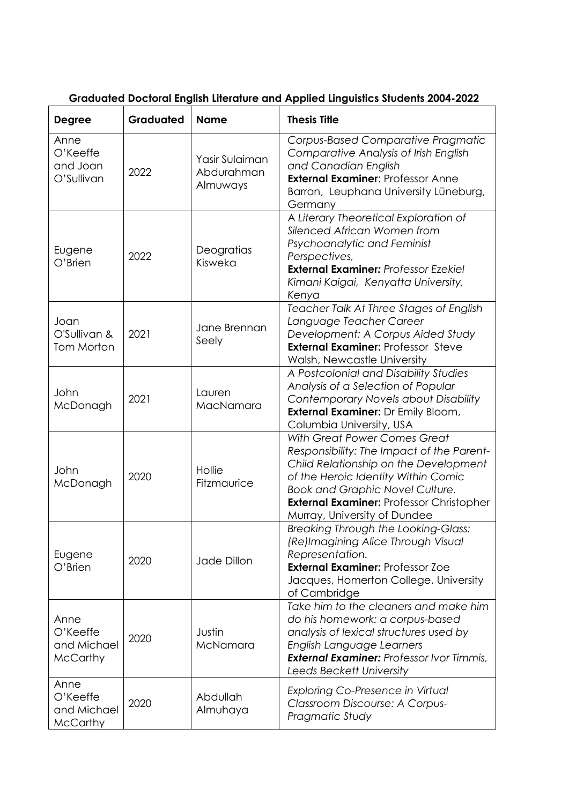| <b>Degree</b>                                      | Graduated | <b>Name</b>                              | <b>Thesis Title</b>                                                                                                                                                                                                                                                             |
|----------------------------------------------------|-----------|------------------------------------------|---------------------------------------------------------------------------------------------------------------------------------------------------------------------------------------------------------------------------------------------------------------------------------|
| Anne<br>O'Keeffe<br>and Joan<br>O'Sullivan         | 2022      | Yasir Sulaiman<br>Abdurahman<br>Almuways | <b>Corpus-Based Comparative Pragmatic</b><br>Comparative Analysis of Irish English<br>and Canadian English<br><b>External Examiner: Professor Anne</b><br>Barron, Leuphana University Lüneburg,<br>Germany                                                                      |
| Eugene<br>O'Brien                                  | 2022      | Deogratias<br>Kisweka                    | A Literary Theoretical Exploration of<br>Silenced African Women from<br>Psychoanalytic and Feminist<br>Perspectives,<br><b>External Examiner: Professor Ezekiel</b><br>Kimani Kaigai, Kenyatta University,<br>Kenya                                                             |
| Joan<br>O'Sullivan &<br>Tom Morton                 | 2021      | Jane Brennan<br>Seely                    | Teacher Talk At Three Stages of English<br>Language Teacher Career<br>Development: A Corpus Aided Study<br><b>External Examiner: Professor Steve</b><br>Walsh, Newcastle University                                                                                             |
| John<br>McDonagh                                   | 2021      | Lauren<br>MacNamara                      | A Postcolonial and Disability Studies<br>Analysis of a Selection of Popular<br>Contemporary Novels about Disability<br><b>External Examiner:</b> Dr Emily Bloom,<br>Columbia University, USA                                                                                    |
| John<br>McDonagh                                   | 2020      | Hollie<br>Fitzmaurice                    | With Great Power Comes Great<br>Responsibility: The Impact of the Parent-<br>Child Relationship on the Development<br>of the Heroic Identity Within Comic<br>Book and Graphic Novel Culture.<br><b>External Examiner: Professor Christopher</b><br>Murray, University of Dundee |
| Eugene<br>O'Brien                                  | 2020      | Jade Dillon                              | Breaking Through the Looking-Glass:<br>(Re)Imagining Alice Through Visual<br>Representation.<br><b>External Examiner: Professor Zoe</b><br>Jacques, Homerton College, University<br>of Cambridge                                                                                |
| Anne<br>O'Keeffe<br>and Michael<br><b>McCarthy</b> | 2020      | Justin<br>McNamara                       | Take him to the cleaners and make him<br>do his homework: a corpus-based<br>analysis of lexical structures used by<br>English Language Learners<br><b>External Examiner: Professor Ivor Timmis,</b><br>Leeds Beckett University                                                 |
| Anne<br>O'Keeffe<br>and Michael<br>McCarthy        | 2020      | Abdullah<br>Almuhaya                     | <b>Exploring Co-Presence in Virtual</b><br>Classroom Discourse: A Corpus-<br>Pragmatic Study                                                                                                                                                                                    |

## **Graduated Doctoral English Literature and Applied Linguistics Students 2004-2022**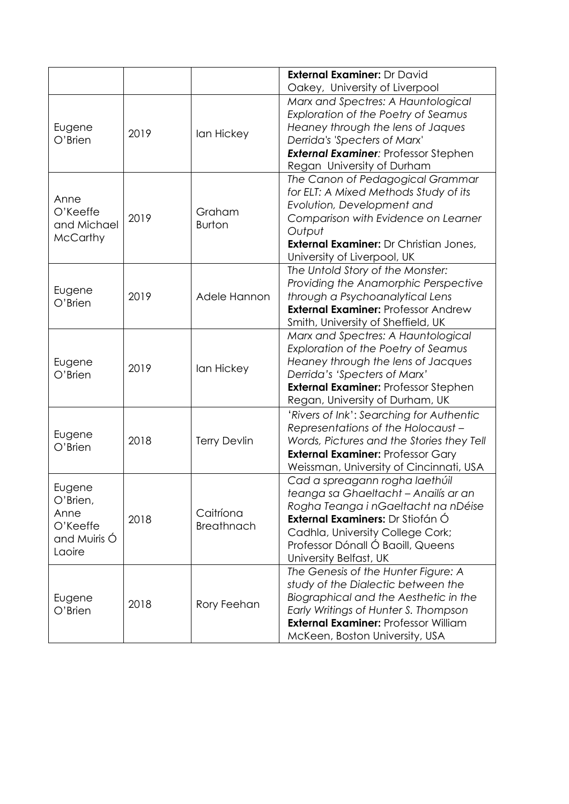|                                                                  |      |                                | <b>External Examiner: Dr David</b><br>Oakey, University of Liverpool                                                                                                                                                                                 |
|------------------------------------------------------------------|------|--------------------------------|------------------------------------------------------------------------------------------------------------------------------------------------------------------------------------------------------------------------------------------------------|
| Eugene<br>O'Brien                                                | 2019 | lan Hickey                     | Marx and Spectres: A Hauntological<br>Exploration of the Poetry of Seamus<br>Heaney through the lens of Jaques<br>Derrida's 'Specters of Marx'<br><b>External Examiner: Professor Stephen</b><br>Regan University of Durham                          |
| Anne<br>O'Keeffe<br>and Michael<br><b>McCarthy</b>               | 2019 | Graham<br><b>Burton</b>        | The Canon of Pedagogical Grammar<br>for ELT: A Mixed Methods Study of its<br>Evolution, Development and<br>Comparison with Evidence on Learner<br>Output<br><b>External Examiner: Dr Christian Jones,</b><br>University of Liverpool, UK             |
| Eugene<br>$O'$ Brien                                             | 2019 | Adele Hannon                   | The Untold Story of the Monster:<br>Providing the Anamorphic Perspective<br>through a Psychoanalytical Lens<br><b>External Examiner: Professor Andrew</b><br>Smith, University of Sheffield, UK                                                      |
| Eugene<br>O'Brien                                                | 2019 | lan Hickey                     | Marx and Spectres: A Hauntological<br>Exploration of the Poetry of Seamus<br>Heaney through the lens of Jacques<br>Derrida's 'Specters of Marx'<br><b>External Examiner: Professor Stephen</b><br>Regan, University of Durham, UK                    |
| Eugene<br>$O'$ Brien                                             | 2018 | <b>Terry Devlin</b>            | 'Rivers of Ink': Searching for Authentic<br>Representations of the Holocaust -<br>Words, Pictures and the Stories they Tell<br><b>External Examiner: Professor Gary</b><br>Weissman, University of Cincinnati, USA                                   |
| Eugene<br>O'Brien,<br>Anne<br>O'Keeffe<br>and Muiris Ó<br>Laoire | 2018 | Caitríona<br><b>Breathnach</b> | Cad a spreagann rogha laethúil<br>teanga sa Ghaeltacht - Anailís ar an<br>Rogha Teanga i nGaeltacht na nDéise<br>External Examiners: Dr Stiofán Ó<br>Cadhla, University College Cork;<br>Professor Dónall Ó Baoill, Queens<br>University Belfast, UK |
| Eugene<br>O'Brien                                                | 2018 | Rory Feehan                    | The Genesis of the Hunter Figure: A<br>study of the Dialectic between the<br>Biographical and the Aesthetic in the<br>Early Writings of Hunter S. Thompson<br><b>External Examiner: Professor William</b><br>McKeen, Boston University, USA          |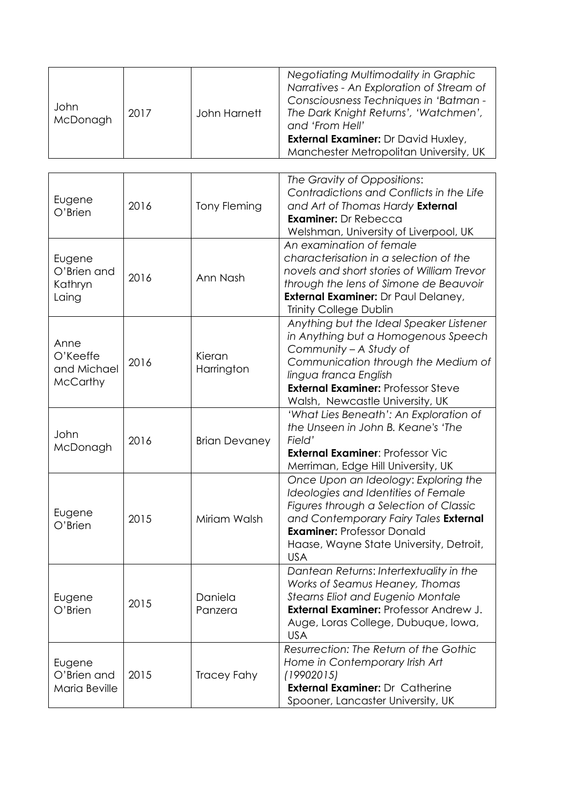| John<br>McDonagh | 2017 | John Harnett | Negotiating Multimodality in Graphic<br>Narratives - An Exploration of Stream of<br>Consciousness Techniques in 'Batman -<br>The Dark Knight Returns', 'Watchmen',<br>and 'From Hell'<br><b>External Examiner: Dr David Huxley,</b><br>Manchester Metropolitan University, UK |
|------------------|------|--------------|-------------------------------------------------------------------------------------------------------------------------------------------------------------------------------------------------------------------------------------------------------------------------------|
|------------------|------|--------------|-------------------------------------------------------------------------------------------------------------------------------------------------------------------------------------------------------------------------------------------------------------------------------|

| Eugene<br>O'Brien                                  | 2016 | <b>Tony Fleming</b>  | The Gravity of Oppositions:<br>Contradictions and Conflicts in the Life<br>and Art of Thomas Hardy External<br><b>Examiner: Dr Rebecca</b><br>Welshman, University of Liverpool, UK                                                                          |
|----------------------------------------------------|------|----------------------|--------------------------------------------------------------------------------------------------------------------------------------------------------------------------------------------------------------------------------------------------------------|
| Eugene<br>O'Brien and<br>Kathryn<br>Laing          | 2016 | Ann Nash             | An examination of female<br>characterisation in a selection of the<br>novels and short stories of William Trevor<br>through the lens of Simone de Beauvoir<br><b>External Examiner: Dr Paul Delaney,</b><br><b>Trinity College Dublin</b>                    |
| Anne<br>O'Keeffe<br>and Michael<br><b>McCarthy</b> | 2016 | Kieran<br>Harrington | Anything but the Ideal Speaker Listener<br>in Anything but a Homogenous Speech<br>Community - A Study of<br>Communication through the Medium of<br>lingua franca English<br><b>External Examiner: Professor Steve</b><br>Walsh, Newcastle University, UK     |
| John<br>McDonagh                                   | 2016 | <b>Brian Devaney</b> | 'What Lies Beneath': An Exploration of<br>the Unseen in John B. Keane's 'The<br>Field'<br><b>External Examiner: Professor Vic</b><br>Merriman, Edge Hill University, UK                                                                                      |
| Eugene<br>$O'$ Brien                               | 2015 | Miriam Walsh         | Once Upon an Ideology: Exploring the<br>Ideologies and Identities of Female<br>Figures through a Selection of Classic<br>and Contemporary Fairy Tales External<br><b>Examiner: Professor Donald</b><br>Haase, Wayne State University, Detroit,<br><b>USA</b> |
| Eugene<br>O'Brien                                  | 2015 | Daniela<br>Panzera   | Dantean Returns: Intertextuality in the<br>Works of Seamus Heaney, Thomas<br>Stearns Eliot and Eugenio Montale<br><b>External Examiner: Professor Andrew J.</b><br>Auge, Loras College, Dubuque, Iowa,<br><b>USA</b>                                         |
| Eugene<br>O'Brien and<br>Maria Beville             | 2015 | <b>Tracey Fahy</b>   | Resurrection: The Return of the Gothic<br>Home in Contemporary Irish Art<br>(19902015)<br><b>External Examiner: Dr Catherine</b><br>Spooner, Lancaster University, UK                                                                                        |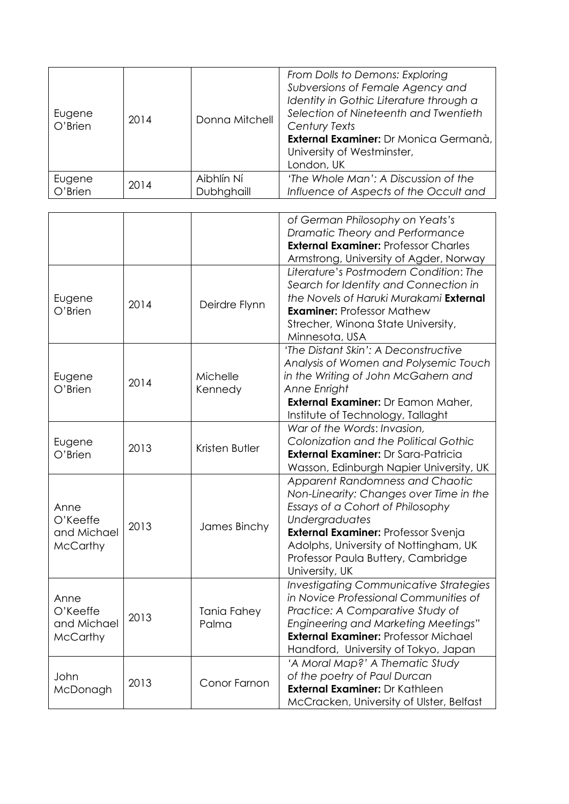| Eugene<br>O'Brien | 2014 | Donna Mitchell | From Dolls to Demons: Exploring<br>Subversions of Female Agency and<br>Identity in Gothic Literature through a<br>Selection of Nineteenth and Twentieth<br><b>Century Texts</b><br>External Examiner: Dr Monica Germanà,<br>University of Westminster,<br>London, UK |
|-------------------|------|----------------|----------------------------------------------------------------------------------------------------------------------------------------------------------------------------------------------------------------------------------------------------------------------|
| Eugene            | 2014 | Aibhlín Ní     | 'The Whole Man': A Discussion of the                                                                                                                                                                                                                                 |
| O'Brien           |      | Dubhghaill     | Influence of Aspects of the Occult and                                                                                                                                                                                                                               |

|                                                    |      |                             | of German Philosophy on Yeats's<br>Dramatic Theory and Performance<br><b>External Examiner: Professor Charles</b>                                                                                                                                                                      |
|----------------------------------------------------|------|-----------------------------|----------------------------------------------------------------------------------------------------------------------------------------------------------------------------------------------------------------------------------------------------------------------------------------|
| Eugene<br>$O'$ Brien                               | 2014 | Deirdre Flynn               | Armstrong, University of Agder, Norway<br>Literature's Postmodern Condition: The<br>Search for Identity and Connection in<br>the Novels of Haruki Murakami External<br><b>Examiner: Professor Mathew</b><br>Strecher, Winona State University,<br>Minnesota, USA                       |
| Eugene<br>O'Brien                                  | 2014 | Michelle<br>Kennedy         | 'The Distant Skin': A Deconstructive<br>Analysis of Women and Polysemic Touch<br>in the Writing of John McGahern and<br>Anne Enright<br>External Examiner: Dr Eamon Maher,<br>Institute of Technology, Tallaght                                                                        |
| Eugene<br>O'Brien                                  | 2013 | Kristen Butler              | War of the Words: Invasion,<br>Colonization and the Political Gothic<br><b>External Examiner: Dr Sara-Patricia</b><br>Wasson, Edinburgh Napier University, UK                                                                                                                          |
| Anne<br>O'Keeffe<br>and Michael<br><b>McCarthy</b> | 2013 | James Binchy                | <b>Apparent Randomness and Chaotic</b><br>Non-Linearity: Changes over Time in the<br>Essays of a Cohort of Philosophy<br>Undergraduates<br><b>External Examiner: Professor Svenja</b><br>Adolphs, University of Nottingham, UK<br>Professor Paula Buttery, Cambridge<br>University, UK |
| Anne<br>O'Keeffe<br>and Michael<br><b>McCarthy</b> | 2013 | <b>Tania Fahey</b><br>Palma | <b>Investigating Communicative Strategies</b><br>in Novice Professional Communities of<br>Practice: A Comparative Study of<br><b>Engineering and Marketing Meetings"</b><br><b>External Examiner: Professor Michael</b><br>Handford, University of Tokyo, Japan                        |
| John<br>McDonagh                                   | 2013 | Conor Farnon                | 'A Moral Map?' A Thematic Study<br>of the poetry of Paul Durcan<br><b>External Examiner: Dr Kathleen</b><br>McCracken, University of Ulster, Belfast                                                                                                                                   |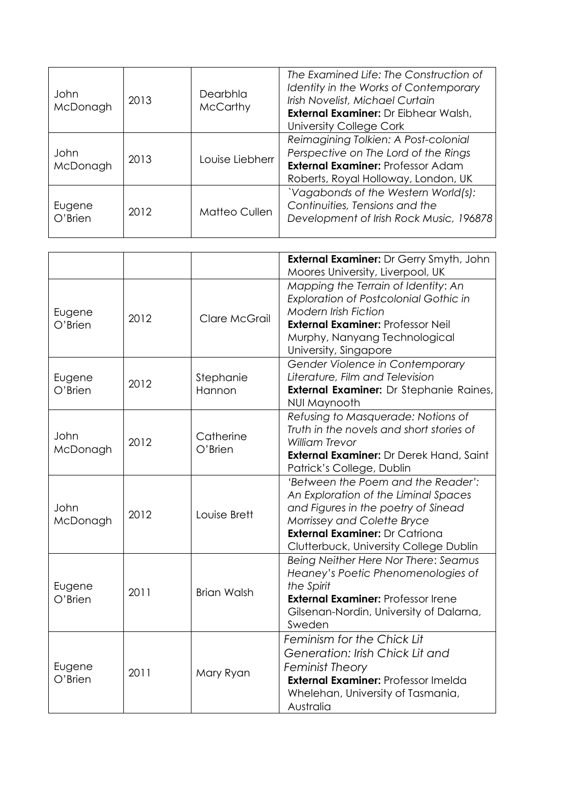| John<br>McDonagh     | 2013 | Dearbhla<br><b>McCarthy</b> | The Examined Life: The Construction of<br>Identity in the Works of Contemporary<br>Irish Novelist, Michael Curtain<br><b>External Examiner: Dr Eibhear Walsh,</b><br>University College Cork |
|----------------------|------|-----------------------------|----------------------------------------------------------------------------------------------------------------------------------------------------------------------------------------------|
| John<br>McDonagh     | 2013 | Louise Liebherr             | Reimagining Tolkien: A Post-colonial<br>Perspective on The Lord of the Rings<br><b>External Examiner: Professor Adam</b><br>Roberts, Royal Holloway, London, UK                              |
| Eugene<br>$O'$ Brien | 2012 | Matteo Cullen               | 'Vagabonds of the Western World(s):<br>Continuities, Tensions and the<br>Development of Irish Rock Music, 196878                                                                             |

|                      |      |                         | <b>External Examiner: Dr Gerry Smyth, John</b><br>Moores University, Liverpool, UK                                                                                                                                                  |
|----------------------|------|-------------------------|-------------------------------------------------------------------------------------------------------------------------------------------------------------------------------------------------------------------------------------|
| Eugene<br>$O'$ Brien | 2012 | Clare McGrail           | Mapping the Terrain of Identity: An<br><b>Exploration of Postcolonial Gothic in</b><br><b>Modern Irish Fiction</b><br><b>External Examiner: Professor Neil</b><br>Murphy, Nanyang Technological<br>University, Singapore            |
| Eugene<br>$O'$ Brien | 2012 | Stephanie<br>Hannon     | Gender Violence in Contemporary<br>Literature, Film and Television<br><b>External Examiner:</b> Dr Stephanie Raines,<br>NUI Maynooth                                                                                                |
| John<br>McDonagh     | 2012 | Catherine<br>$O'$ Brien | Refusing to Masquerade: Notions of<br>Truth in the novels and short stories of<br><b>William Trevor</b><br><b>External Examiner:</b> Dr Derek Hand, Saint<br>Patrick's College, Dublin                                              |
| John<br>McDonagh     | 2012 | Louise Brett            | 'Between the Poem and the Reader':<br>An Exploration of the Liminal Spaces<br>and Figures in the poetry of Sinead<br>Morrissey and Colette Bryce<br><b>External Examiner: Dr Catriona</b><br>Clutterbuck, University College Dublin |
| Eugene<br>$O'$ Brien | 2011 | <b>Brian Walsh</b>      | Being Neither Here Nor There: Seamus<br>Heaney's Poetic Phenomenologies of<br>the Spirit<br><b>External Examiner: Professor Irene</b><br>Gilsenan-Nordin, University of Dalarna,<br>Sweden                                          |
| Eugene<br>$O'$ Brien | 2011 | Mary Ryan               | Feminism for the Chick Lit<br>Generation: Irish Chick Lit and<br><b>Feminist Theory</b><br><b>External Examiner: Professor Imelda</b><br>Whelehan, University of Tasmania,<br>Australia                                             |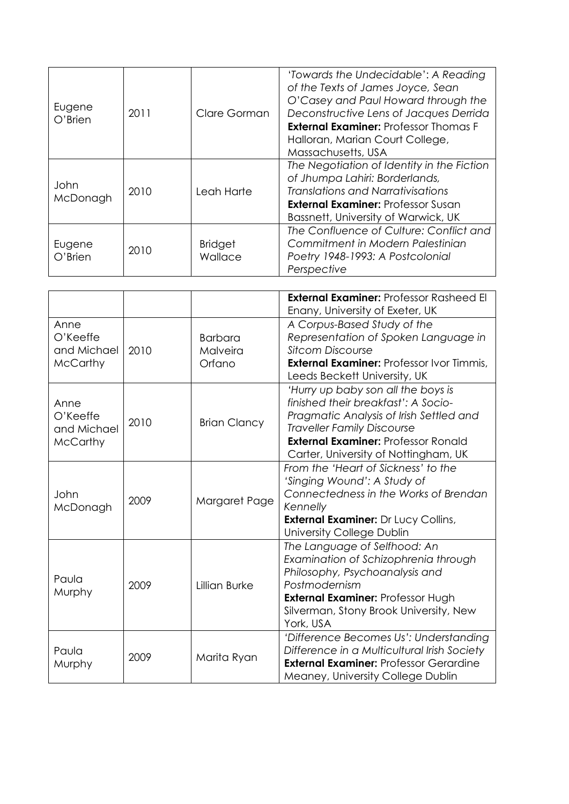| Eugene<br>$O'$ Brien | 2011 | Clare Gorman              | 'Towards the Undecidable': A Reading<br>of the Texts of James Joyce, Sean<br>O'Casey and Paul Howard through the<br>Deconstructive Lens of Jacques Derrida<br><b>External Examiner: Professor Thomas F</b><br>Halloran, Marian Court College,<br>Massachusetts, USA |
|----------------------|------|---------------------------|---------------------------------------------------------------------------------------------------------------------------------------------------------------------------------------------------------------------------------------------------------------------|
| John<br>McDonagh     | 2010 | Leah Harte                | The Negotiation of Identity in the Fiction<br>of Jhumpa Lahiri: Borderlands,<br>Translations and Narrativisations<br><b>External Examiner: Professor Susan</b><br>Bassnett, University of Warwick, UK                                                               |
| Eugene<br>$O'$ Brien | 2010 | <b>Bridget</b><br>Wallace | The Confluence of Culture: Conflict and<br>Commitment in Modern Palestinian<br>Poetry 1948-1993: A Postcolonial<br>Perspective                                                                                                                                      |

|                                                    |      |                                      | <b>External Examiner: Professor Rasheed El</b><br>Enany, University of Exeter, UK                                                                                                                                                               |
|----------------------------------------------------|------|--------------------------------------|-------------------------------------------------------------------------------------------------------------------------------------------------------------------------------------------------------------------------------------------------|
| Anne<br>O'Keeffe<br>and Michael<br><b>McCarthy</b> | 2010 | <b>Barbara</b><br>Malveira<br>Orfano | A Corpus-Based Study of the<br>Representation of Spoken Language in<br><b>Sitcom Discourse</b><br><b>External Examiner: Professor Ivor Timmis,</b><br>Leeds Beckett University, UK                                                              |
| Anne<br>O'Keeffe<br>and Michael<br><b>McCarthy</b> | 2010 | <b>Brian Clancy</b>                  | 'Hurry up baby son all the boys is<br>finished their breakfast': A Socio-<br>Pragmatic Analysis of Irish Settled and<br><b>Traveller Family Discourse</b><br><b>External Examiner: Professor Ronald</b><br>Carter, University of Nottingham, UK |
| John<br>McDonagh                                   | 2009 | Margaret Page                        | From the 'Heart of Sickness' to the<br>'Singing Wound': A Study of<br>Connectedness in the Works of Brendan<br>Kennelly<br><b>External Examiner:</b> Dr Lucy Collins,<br>University College Dublin                                              |
| Paula<br>Murphy                                    | 2009 | Lillian Burke                        | The Language of Selfhood: An<br>Examination of Schizophrenia through<br>Philosophy, Psychoanalysis and<br>Postmodernism<br><b>External Examiner: Professor Hugh</b><br>Silverman, Stony Brook University, New<br>York, USA                      |
| Paula<br>Murphy                                    | 2009 | Marita Ryan                          | 'Difference Becomes Us': Understanding<br>Difference in a Multicultural Irish Society<br><b>External Examiner: Professor Gerardine</b><br>Meaney, University College Dublin                                                                     |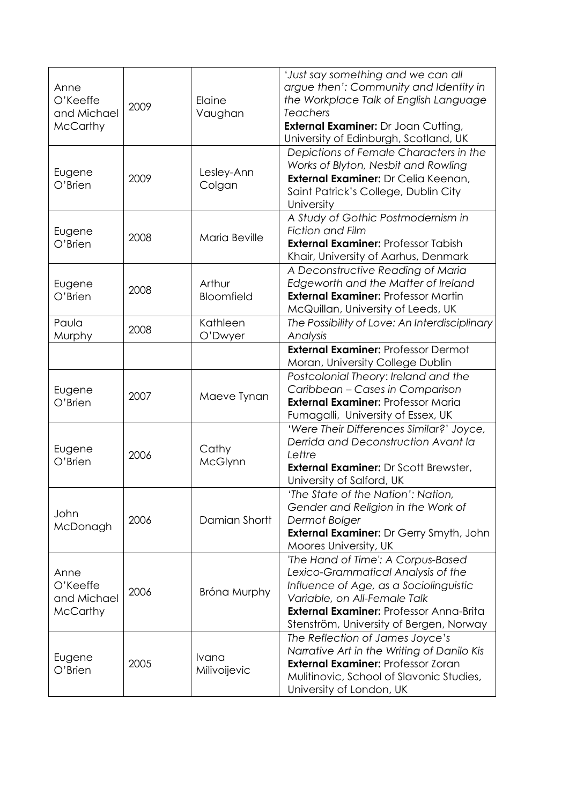| Anne<br>O'Keeffe<br>and Michael<br><b>McCarthy</b> | 2009 | Elaine<br>Vaughan     | 'Just say something and we can all<br>argue then': Community and Identity in<br>the Workplace Talk of English Language<br><b>Teachers</b><br><b>External Examiner:</b> Dr Joan Cutting,<br>University of Edinburgh, Scotland, UK                |
|----------------------------------------------------|------|-----------------------|-------------------------------------------------------------------------------------------------------------------------------------------------------------------------------------------------------------------------------------------------|
| Eugene<br>O'Brien                                  | 2009 | Lesley-Ann<br>Colgan  | Depictions of Female Characters in the<br>Works of Blyton, Nesbit and Rowling<br>External Examiner: Dr Celia Keenan,<br>Saint Patrick's College, Dublin City<br>University                                                                      |
| Eugene<br>O'Brien                                  | 2008 | Maria Beville         | A Study of Gothic Postmodernism in<br><b>Fiction and Film</b><br><b>External Examiner: Professor Tabish</b><br>Khair, University of Aarhus, Denmark                                                                                             |
| Eugene<br>O'Brien                                  | 2008 | Arthur<br>Bloomfield  | A Deconstructive Reading of Maria<br>Edgeworth and the Matter of Ireland<br><b>External Examiner: Professor Martin</b><br>McQuillan, University of Leeds, UK                                                                                    |
| Paula<br>Murphy                                    | 2008 | Kathleen<br>O'Dwyer   | The Possibility of Love: An Interdisciplinary<br>Analysis                                                                                                                                                                                       |
|                                                    |      |                       | <b>External Examiner: Professor Dermot</b><br>Moran, University College Dublin                                                                                                                                                                  |
| Eugene<br>O'Brien                                  | 2007 | Maeve Tynan           | Postcolonial Theory: Ireland and the<br>Caribbean - Cases in Comparison<br><b>External Examiner: Professor Maria</b><br>Fumagalli, University of Essex, UK                                                                                      |
| Eugene<br>O'Brien                                  | 2006 | Cathy<br>McGlynn      | 'Were Their Differences Similar?' Joyce,<br>Derrida and Deconstruction Avant la<br>Lettre<br><b>External Examiner: Dr Scott Brewster,</b><br>University of Salford, UK                                                                          |
| John<br>McDonagh                                   | 2006 | Damian Shortt         | 'The State of the Nation': Nation,<br>Gender and Religion in the Work of<br>Dermot Bolger<br><b>External Examiner: Dr Gerry Smyth, John</b><br>Moores University, UK                                                                            |
| Anne<br>O'Keeffe<br>and Michael<br><b>McCarthy</b> | 2006 | Bróna Murphy          | 'The Hand of Time': A Corpus-Based<br>Lexico-Grammatical Analysis of the<br>Influence of Age, as a Sociolinguistic<br>Variable, on All-Female Talk<br><b>External Examiner: Professor Anna-Brita</b><br>Stenström, University of Bergen, Norway |
| Eugene<br>O'Brien                                  | 2005 | Ivana<br>Milivoijevic | The Reflection of James Joyce's<br>Narrative Art in the Writing of Danilo Kis<br><b>External Examiner: Professor Zoran</b><br>Mulitinovic, School of Slavonic Studies,<br>University of London, UK                                              |